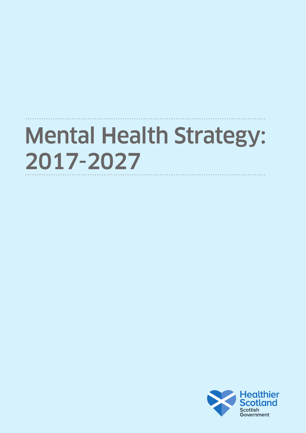# Mental Health Strategy: 2017-2027

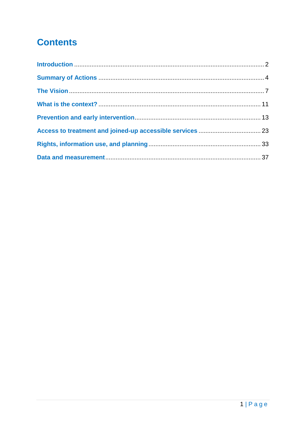# **Contents**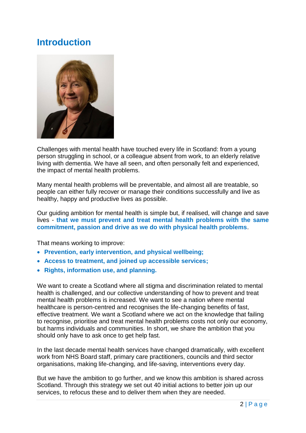# <span id="page-2-0"></span>**Introduction**



Challenges with mental health have touched every life in Scotland: from a young person struggling in school, or a colleague absent from work, to an elderly relative living with dementia. We have all seen, and often personally felt and experienced, the impact of mental health problems.

Many mental health problems will be preventable, and almost all are treatable, so people can either fully recover or manage their conditions successfully and live as healthy, happy and productive lives as possible.

Our guiding ambition for mental health is simple but, if realised, will change and save lives - **that we must prevent and treat mental health problems with the same commitment, passion and drive as we do with physical health problems**.

That means working to improve:

- **Prevention, early intervention, and physical wellbeing;**
- **Access to treatment, and joined up accessible services;**
- **Rights, information use, and planning.**

We want to create a Scotland where all stigma and discrimination related to mental health is challenged, and our collective understanding of how to prevent and treat mental health problems is increased. We want to see a nation where mental healthcare is person-centred and recognises the life-changing benefits of fast, effective treatment. We want a Scotland where we act on the knowledge that failing to recognise, prioritise and treat mental health problems costs not only our economy, but harms individuals and communities. In short, we share the ambition that you should only have to ask once to get help fast.

In the last decade mental health services have changed dramatically, with excellent work from NHS Board staff, primary care practitioners, councils and third sector organisations, making life-changing, and life-saving, interventions every day.

But we have the ambition to go further, and we know this ambition is shared across Scotland. Through this strategy we set out 40 initial actions to better join up our services, to refocus these and to deliver them when they are needed.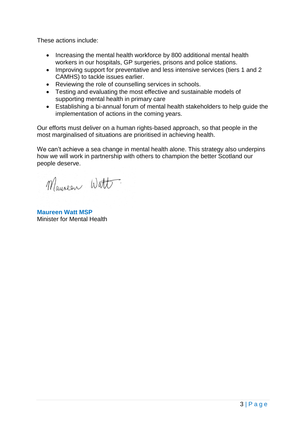These actions include:

- Increasing the mental health workforce by 800 additional mental health workers in our hospitals, GP surgeries, prisons and police stations.
- Improving support for preventative and less intensive services (tiers 1 and 2 CAMHS) to tackle issues earlier.
- Reviewing the role of counselling services in schools.
- Testing and evaluating the most effective and sustainable models of supporting mental health in primary care
- Establishing a bi-annual forum of mental health stakeholders to help guide the implementation of actions in the coming years.

Our efforts must deliver on a human rights-based approach, so that people in the most marginalised of situations are prioritised in achieving health.

We can't achieve a sea change in mental health alone. This strategy also underpins how we will work in partnership with others to champion the better Scotland our people deserve.

Mauseur Watt

**Maureen Watt MSP** Minister for Mental Health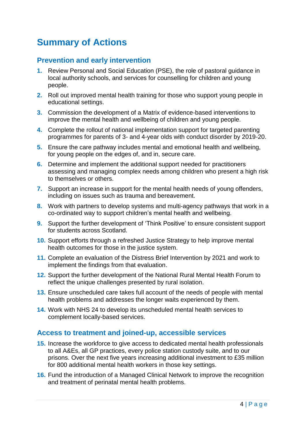# <span id="page-4-0"></span>**Summary of Actions**

# **Prevention and early intervention**

- **1.** Review Personal and Social Education (PSE), the role of pastoral guidance in local authority schools, and services for counselling for children and young people.
- **2.** Roll out improved mental health training for those who support young people in educational settings.
- **3.** Commission the development of a Matrix of evidence-based interventions to improve the mental health and wellbeing of children and young people.
- **4.** Complete the rollout of national implementation support for targeted parenting programmes for parents of 3- and 4-year olds with conduct disorder by 2019-20.
- **5.** Ensure the care pathway includes mental and emotional health and wellbeing, for young people on the edges of, and in, secure care.
- **6.** Determine and implement the additional support needed for practitioners assessing and managing complex needs among children who present a high risk to themselves or others.
- **7.** Support an increase in support for the mental health needs of young offenders, including on issues such as trauma and bereavement.
- **8.** Work with partners to develop systems and multi-agency pathways that work in a co-ordinated way to support children"s mental health and wellbeing.
- **9.** Support the further development of 'Think Positive' to ensure consistent support for students across Scotland.
- **10.** Support efforts through a refreshed Justice Strategy to help improve mental health outcomes for those in the justice system.
- **11.** Complete an evaluation of the Distress Brief Intervention by 2021 and work to implement the findings from that evaluation.
- **12.** Support the further development of the National Rural Mental Health Forum to reflect the unique challenges presented by rural isolation.
- **13.** Ensure unscheduled care takes full account of the needs of people with mental health problems and addresses the longer waits experienced by them.
- **14.** Work with NHS 24 to develop its unscheduled mental health services to complement locally-based services.

# **Access to treatment and joined-up, accessible services**

- **15.** Increase the workforce to give access to dedicated mental health professionals to all A&Es, all GP practices, every police station custody suite, and to our prisons. Over the next five years increasing additional investment to £35 million for 800 additional mental health workers in those key settings.
- **16.** Fund the introduction of a Managed Clinical Network to improve the recognition and treatment of perinatal mental health problems.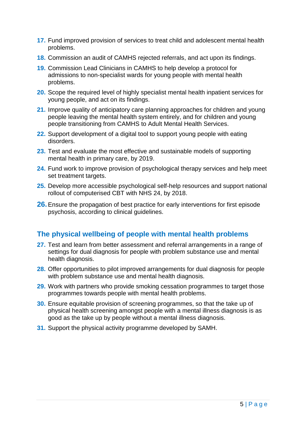- **17.** Fund improved provision of services to treat child and adolescent mental health problems.
- **18.** Commission an audit of CAMHS rejected referrals, and act upon its findings.
- **19.** Commission Lead Clinicians in CAMHS to help develop a protocol for admissions to non-specialist wards for young people with mental health problems.
- **20.** Scope the required level of highly specialist mental health inpatient services for young people, and act on its findings.
- **21.** Improve quality of anticipatory care planning approaches for children and young people leaving the mental health system entirely, and for children and young people transitioning from CAMHS to Adult Mental Health Services.
- **22.** Support development of a digital tool to support young people with eating disorders.
- **23.** Test and evaluate the most effective and sustainable models of supporting mental health in primary care, by 2019.
- **24.** Fund work to improve provision of psychological therapy services and help meet set treatment targets.
- **25.** Develop more accessible psychological self-help resources and support national rollout of computerised CBT with NHS 24, by 2018.
- **26.**Ensure the propagation of best practice for early interventions for first episode psychosis, according to clinical guidelines.

## **The physical wellbeing of people with mental health problems**

- **27.** Test and learn from better assessment and referral arrangements in a range of settings for dual diagnosis for people with problem substance use and mental health diagnosis.
- **28.** Offer opportunities to pilot improved arrangements for dual diagnosis for people with problem substance use and mental health diagnosis.
- **29.** Work with partners who provide smoking cessation programmes to target those programmes towards people with mental health problems.
- **30.** Ensure equitable provision of screening programmes, so that the take up of physical health screening amongst people with a mental illness diagnosis is as good as the take up by people without a mental illness diagnosis.
- **31.** Support the physical activity programme developed by SAMH.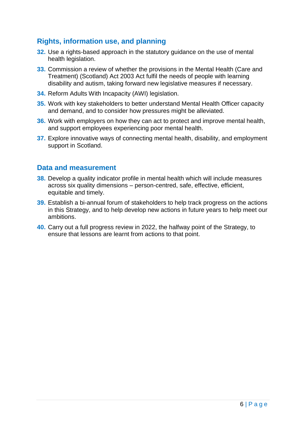## **Rights, information use, and planning**

- **32.** Use a rights-based approach in the statutory guidance on the use of mental health legislation.
- **33.** Commission a review of whether the provisions in the Mental Health (Care and Treatment) (Scotland) Act 2003 Act fulfil the needs of people with learning disability and autism, taking forward new legislative measures if necessary.
- **34.** Reform Adults With Incapacity (AWI) legislation.
- **35.** Work with key stakeholders to better understand Mental Health Officer capacity and demand, and to consider how pressures might be alleviated.
- **36.** Work with employers on how they can act to protect and improve mental health, and support employees experiencing poor mental health.
- **37.** Explore innovative ways of connecting mental health, disability, and employment support in Scotland.

#### **Data and measurement**

- **38.** Develop a quality indicator profile in mental health which will include measures across six quality dimensions – person-centred, safe, effective, efficient, equitable and timely.
- **39.** Establish a bi-annual forum of stakeholders to help track progress on the actions in this Strategy, and to help develop new actions in future years to help meet our ambitions.
- **40.** Carry out a full progress review in 2022, the halfway point of the Strategy, to ensure that lessons are learnt from actions to that point.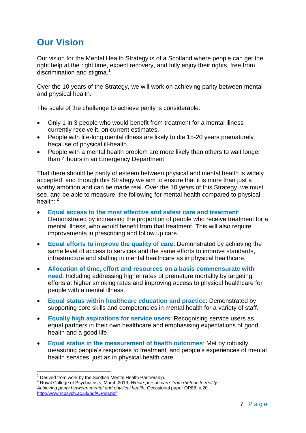# <span id="page-7-0"></span>**Our Vision**

Our vision for the Mental Health Strategy is of a Scotland where people can get the right help at the right time, expect recovery, and fully enjoy their rights, free from discrimination and stigma. $1$ 

Over the 10 years of the Strategy, we will work on achieving parity between mental and physical health.

The scale of the challenge to achieve parity is considerable:

- Only 1 in 3 people who would benefit from treatment for a mental illness currently receive it, on current estimates.
- People with life-long mental illness are likely to die 15-20 years prematurely because of physical ill-health.
- People with a mental health problem are more likely than others to wait longer than 4 hours in an Emergency Department.

That there should be parity of esteem between physical and mental health is widely accepted, and through this Strategy we aim to ensure that it is more than just a worthy ambition and can be made real. Over the 10 years of this Strategy, we must see, and be able to measure, the following for mental health compared to physical health:  $2$ 

- **Equal access to the most effective and safest care and treatment**: Demonstrated by increasing the proportion of people who receive treatment for a mental illness, who would benefit from that treatment. This will also require improvements in prescribing and follow up care.
- **Equal efforts to improve the quality of care**: Demonstrated by achieving the same level of access to services and the same efforts to improve standards, infrastructure and staffing in mental healthcare as in physical healthcare.
- **Allocation of time, effort and resources on a basis commensurate with need**: Including addressing higher rates of premature mortality by targeting efforts at higher smoking rates and improving access to physical healthcare for people with a mental illness.
- **Equal status within healthcare education and practice**: Demonstrated by supporting core skills and competencies in mental health for a variety of staff.
- **Equally high aspirations for service users**: Recognising service users as equal partners in their own healthcare and emphasising expectations of good health and a good life.
- **Equal status in the measurement of health outcomes**: Met by robustly measuring people"s responses to treatment, and people"s experiences of mental health services, just as in physical health care.

<sup>1</sup> Derived from work by the Scottish Mental Health Partnership.

<sup>2</sup> Royal College of Psychiatrists, March 2013, *Whole-person care: from rhetoric to reality Achieving parity between mental and physical health,* Occasional paper OP88, p.20 <http://www.rcpsych.ac.uk/pdf/OP88.pdf>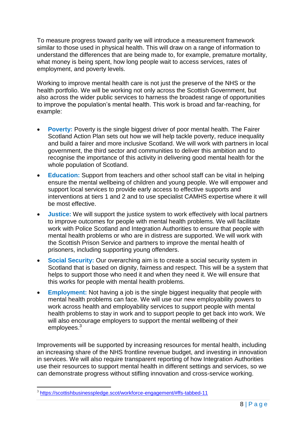To measure progress toward parity we will introduce a measurement framework similar to those used in physical health. This will draw on a range of information to understand the differences that are being made to, for example, premature mortality, what money is being spent, how long people wait to access services, rates of employment, and poverty levels.

Working to improve mental health care is not just the preserve of the NHS or the health portfolio. We will be working not only across the Scottish Government, but also across the wider public services to harness the broadest range of opportunities to improve the population"s mental health. This work is broad and far-reaching, for example:

- **Poverty:** Poverty is the single biggest driver of poor mental health. The Fairer Scotland Action Plan sets out how we will help tackle poverty, reduce inequality and build a fairer and more inclusive Scotland. We will work with partners in local government, the third sector and communities to deliver this ambition and to recognise the importance of this activity in delivering good mental health for the whole population of Scotland.
- **Education:** Support from teachers and other school staff can be vital in helping ensure the mental wellbeing of children and young people. We will empower and support local services to provide early access to effective supports and interventions at tiers 1 and 2 and to use specialist CAMHS expertise where it will be most effective.
- **Justice:** We will support the justice system to work effectively with local partners to improve outcomes for people with mental health problems. We will facilitate work with Police Scotland and Integration Authorities to ensure that people with mental health problems or who are in distress are supported. We will work with the Scottish Prison Service and partners to improve the mental health of prisoners, including supporting young offenders.
- **Social Security:** Our overarching aim is to create a social security system in Scotland that is based on dignity, fairness and respect. This will be a system that helps to support those who need it and when they need it. We will ensure that this works for people with mental health problems.
- **Employment:** Not having a job is the single biggest inequality that people with mental health problems can face. We will use our new employability powers to work across health and employability services to support people with mental health problems to stay in work and to support people to get back into work. We will also encourage employers to support the mental wellbeing of their employees.<sup>3</sup>

Improvements will be supported by increasing resources for mental health, including an increasing share of the NHS frontline revenue budget, and investing in innovation in services. We will also require transparent reporting of how Integration Authorities use their resources to support mental health in different settings and services, so we can demonstrate progress without stifling innovation and cross-service working.

1

<sup>&</sup>lt;sup>3</sup> <https://scottishbusinesspledge.scot/workforce-engagement/#ffs-tabbed-11>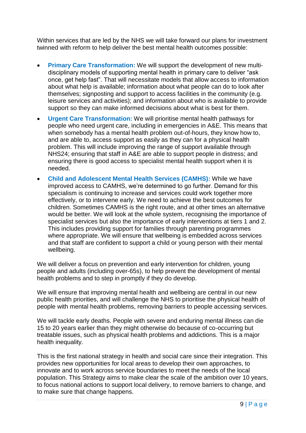Within services that are led by the NHS we will take forward our plans for investment twinned with reform to help deliver the best mental health outcomes possible:

- **Primary Care Transformation:** We will support the development of new multidisciplinary models of supporting mental health in primary care to deliver "ask once, get help fast". That will necessitate models that allow access to information about what help is available; information about what people can do to look after themselves; signposting and support to access facilities in the community (e.g. leisure services and activities); and information about who is available to provide support so they can make informed decisions about what is best for them.
- **Urgent Care Transformation:** We will prioritise mental health pathways for people who need urgent care, including in emergencies in A&E. This means that when somebody has a mental health problem out-of-hours, they know how to, and are able to, access support as easily as they can for a physical health problem. This will include improving the range of support available through NHS24; ensuring that staff in A&E are able to support people in distress; and ensuring there is good access to specialist mental health support when it is needed.
- **Child and Adolescent Mental Health Services (CAMHS):** While we have improved access to CAMHS, we"re determined to go further. Demand for this specialism is continuing to increase and services could work together more effectively, or to intervene early. We need to achieve the best outcomes for children. Sometimes CAMHS is the right route, and at other times an alternative would be better. We will look at the whole system, recognising the importance of specialist services but also the importance of early interventions at tiers 1 and 2. This includes providing support for families through parenting programmes where appropriate. We will ensure that wellbeing is embedded across services and that staff are confident to support a child or young person with their mental wellbeing.

We will deliver a focus on prevention and early intervention for children, young people and adults (including over-65s), to help prevent the development of mental health problems and to step in promptly if they do develop.

We will ensure that improving mental health and wellbeing are central in our new public health priorities, and will challenge the NHS to prioritise the physical health of people with mental health problems, removing barriers to people accessing services.

We will tackle early deaths. People with severe and enduring mental illness can die 15 to 20 years earlier than they might otherwise do because of co-occurring but treatable issues, such as physical health problems and addictions. This is a major health inequality.

This is the first national strategy in health and social care since their integration. This provides new opportunities for local areas to develop their own approaches, to innovate and to work across service boundaries to meet the needs of the local population. This Strategy aims to make clear the scale of the ambition over 10 years, to focus national actions to support local delivery, to remove barriers to change, and to make sure that change happens.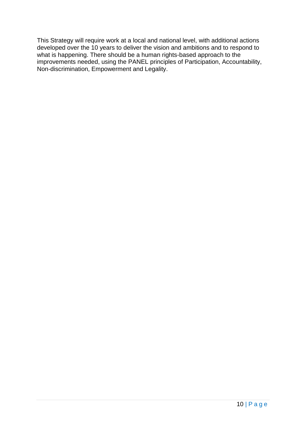This Strategy will require work at a local and national level, with additional actions developed over the 10 years to deliver the vision and ambitions and to respond to what is happening. There should be a human rights-based approach to the improvements needed, using the PANEL principles of Participation, Accountability, Non-discrimination, Empowerment and Legality.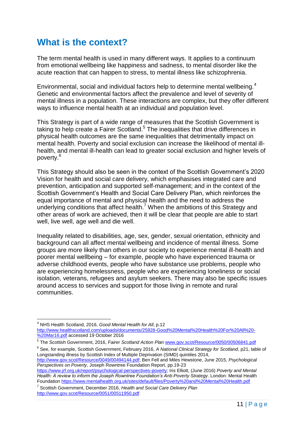# <span id="page-11-0"></span>**What is the context?**

The term mental health is used in many different ways. It applies to a continuum from emotional wellbeing like happiness and sadness, to mental disorder like the acute reaction that can happen to stress, to mental illness like schizophrenia.

Environmental, social and individual factors help to determine mental wellbeing.<sup>4</sup> Genetic and environmental factors affect the prevalence and level of severity of mental illness in a population. These interactions are complex, but they offer different ways to influence mental health at an individual and population level.

This Strategy is part of a wide range of measures that the Scottish Government is taking to help create a Fairer Scotland.<sup>5</sup> The inequalities that drive differences in physical health outcomes are the same inequalities that detrimentally impact on mental health. Poverty and social exclusion can increase the likelihood of mental illhealth, and mental ill-health can lead to greater social exclusion and higher levels of poverty.<sup>6</sup>

This Strategy should also be seen in the context of the Scottish Government"s 2020 Vision for health and social care delivery, which emphasises integrated care and prevention, anticipation and supported self-management; and in the context of the Scottish Government"s Health and Social Care Delivery Plan, which reinforces the equal importance of mental and physical health and the need to address the underlying conditions that affect health. $<sup>7</sup>$  When the ambitions of this Strategy and</sup> other areas of work are achieved, then it will be clear that people are able to start well, live well, age well and die well.

Inequality related to disabilities, age, sex, gender, sexual orientation, ethnicity and background can all affect mental wellbeing and incidence of mental illness. Some groups are more likely than others in our society to experience mental ill-health and poorer mental wellbeing – for example, people who have experienced trauma or adverse childhood events, people who have substance use problems, people who are experiencing homelessness, people who are experiencing loneliness or social isolation, veterans, refugees and asylum seekers. There may also be specific issues around access to services and support for those living in remote and rural communities.

6 See, for example, Scottish Government, February 2016, *A National Clinical Strategy for Scotland*, p21, table of Longstanding illness by Scottish Index of Multiple Deprivation (SIMD) quintiles 2014, [http://www.gov.scot/Resource/0049/00494144.pdf;](http://www.gov.scot/Resource/0049/00494144.pdf) Ben Fell and Miles Hewstone, June 2015, *Psychological* 

*Perspectives on Poverty*, Joseph Rowntree Foundation Report, pp.19-23

[https://www.jrf.org.uk/report/psychological-perspectives-poverty;](https://www.jrf.org.uk/report/psychological-perspectives-poverty) Iris Elliott, (June 2016) *Poverty and Mental Health: A review to inform the Joseph Rowntree Foundation's Anti-Poverty Strategy*. London: Mental Health Foundatio[n https://www.mentalhealth.org.uk/sites/default/files/Poverty%20and%20Mental%20Health.pdf](https://www.mentalhealth.org.uk/sites/default/files/Poverty%20and%20Mental%20Health.pdf) 

7 Scottish Government, December 2016, *Health and Social Care Delivery Plan*  <http://www.gov.scot/Resource/0051/00511950.pdf>

<sup>4</sup> NHS Health Scotland, 2016, *Good Mental Health for All*, p.12 [http://www.healthscotland.com/uploads/documents/25928-Good%20Mental%20Health%20For%20All%20-](http://www.healthscotland.com/uploads/documents/25928-Good%20Mental%20Health%20For%20All%20-%20Mar16.pdf) [%20Mar16.pdf](http://www.healthscotland.com/uploads/documents/25928-Good%20Mental%20Health%20For%20All%20-%20Mar16.pdf) accessed 19 October 2016

<sup>5</sup> The Scottish Government, 2016, *Fairer Scotland Action Plan* [www.gov.scot/Resource/0050/00506841.pdf](http://www.gov.scot/Resource/0050/00506841.pdf)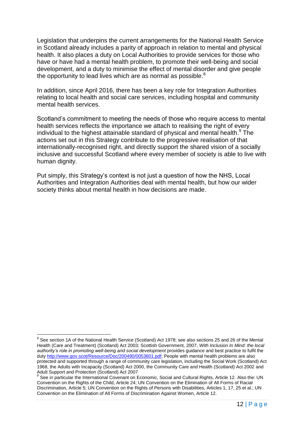Legislation that underpins the current arrangements for the National Health Service in Scotland already includes a parity of approach in relation to mental and physical health. It also places a duty on Local Authorities to provide services for those who have or have had a mental health problem, to promote their well-being and social development, and a duty to minimise the effect of mental disorder and give people the opportunity to lead lives which are as normal as possible. $8$ 

In addition, since April 2016, there has been a key role for Integration Authorities relating to local health and social care services, including hospital and community mental health services.

Scotland"s commitment to meeting the needs of those who require access to mental health services reflects the importance we attach to realising the right of every individual to the highest attainable standard of physical and mental health.<sup>9</sup> The actions set out in this Strategy contribute to the progressive realisation of that internationally-recognised right, and directly support the shared vision of a socially inclusive and successful Scotland where every member of society is able to live with human dignity.

Put simply, this Strategy"s context is not just a question of how the NHS, Local Authorities and Integration Authorities deal with mental health, but how our wider society thinks about mental health in how decisions are made.

<sup>&</sup>lt;sup>8</sup> See section 1A of the National Health Service (Scotland) Act 1978; see also sections 25 and 26 of the Mental Health (Care and Treatment) (Scotland) Act 2003; Scottish Government, 2007, *With Inclusion In Mind: the local authority's role in promoting well-being and social development* provides guidance and best practice to fulfil the dut[y http://www.gov.scot/Resource/Doc/200490/0053601.pdf;](http://www.gov.scot/Resource/Doc/200490/0053601.pdf) People with mental health problems are also protected and supported through a range of community care legislation, including the Social Work (Scotland) Act 1968, the Adults with Incapacity (Scotland) Act 2000, the Community Care and Health (Scotland) Act 2002 and Adult Support and Protection (Scotland) Act 2007<br><sup>9</sup> See in particular the International Covenant on Economic, Social and Cultural Rights, Article 12. Also the: UN

Convention on the Rights of the Child, Article 24; UN Convention on the Elimination of All Forms of Racial Discrimination, Article 5; UN Convention on the Rights of Persons with Disabilities, Articles 1, 17, 25 et al.; UN Convention on the Elimination of All Forms of Discrimination Against Women, Article 12.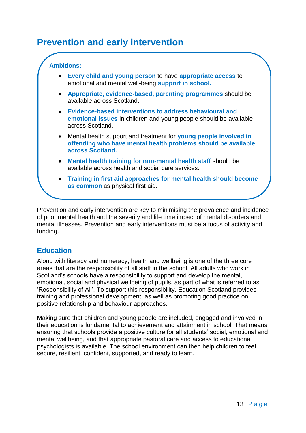# <span id="page-13-0"></span>**Prevention and early intervention**

#### **Ambitions:**

- **Every child and young person** to have **appropriate access** to emotional and mental well-being **support in school.**
- **Appropriate, evidence-based, parenting programmes** should be available across Scotland.
- **Evidence-based interventions to address behavioural and emotional issues** in children and young people should be available across Scotland.
- Mental health support and treatment for **young people involved in offending who have mental health problems should be available across Scotland.**
- **Mental health training for non-mental health staff** should be available across health and social care services.
- **Training in first aid approaches for mental health should become as common** as physical first aid.

Prevention and early intervention are key to minimising the prevalence and incidence of poor mental health and the severity and life time impact of mental disorders and mental illnesses. Prevention and early interventions must be a focus of activity and funding.

## **Education**

Along with literacy and numeracy, health and wellbeing is one of the three core areas that are the responsibility of all staff in the school. All adults who work in Scotland"s schools have a responsibility to support and develop the mental, emotional, social and physical wellbeing of pupils, as part of what is referred to as "Responsibility of All". To support this responsibility, Education Scotland provides training and professional development, as well as promoting good practice on positive relationship and behaviour approaches.

Making sure that children and young people are included, engaged and involved in their education is fundamental to achievement and attainment in school. That means ensuring that schools provide a positive culture for all students" social, emotional and mental wellbeing, and that appropriate pastoral care and access to educational psychologists is available. The school environment can then help children to feel secure, resilient, confident, supported, and ready to learn.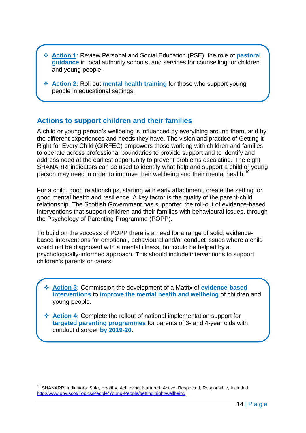- **Action 1:** Review Personal and Social Education (PSE), the role of **pastoral guidance** in local authority schools, and services for counselling for children and young people.
- **Action 2:** Roll out **mental health training** for those who support young people in educational settings.

#### **Actions to support children and their families**

A child or young person"s wellbeing is influenced by everything around them, and by the different experiences and needs they have. The vision and practice of Getting it Right for Every Child (GIRFEC) empowers those working with children and families to operate across professional boundaries to provide support and to identify and address need at the earliest opportunity to prevent problems escalating. The eight SHANARRI indicators can be used to identify what help and support a child or young person may need in order to improve their wellbeing and their mental health.<sup>10</sup>

For a child, good relationships, starting with early attachment, create the setting for good mental health and resilience. A key factor is the quality of the parent-child relationship. The Scottish Government has supported the roll-out of evidence-based interventions that support children and their families with behavioural issues, through the Psychology of Parenting Programme (POPP).

To build on the success of POPP there is a need for a range of solid, evidencebased interventions for emotional, behavioural and/or conduct issues where a child would not be diagnosed with a mental illness, but could be helped by a psychologically-informed approach. This should include interventions to support children"s parents or carers.

- **Action 3:** Commission the development of a Matrix of **evidence-based interventions** to **improve the mental health and wellbeing** of children and young people.
- **Action 4:** Complete the rollout of national implementation support for **targeted parenting programmes** for parents of 3- and 4-year olds with conduct disorder **by 2019-20**.

<sup>&</sup>lt;sup>10</sup> SHANARRI indicators: Safe, Healthy, Achieving, Nurtured, Active, Respected, Responsible, Included <http://www.gov.scot/Topics/People/Young-People/gettingitright/wellbeing>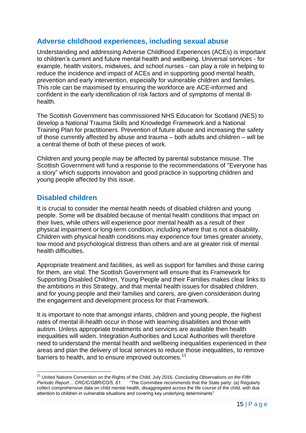## **Adverse childhood experiences, including sexual abuse**

Understanding and addressing Adverse Childhood Experiences (ACEs) is important to children"s current and future mental health and wellbeing. Universal services - for example, health visitors, midwives, and school nurses - can play a role in helping to reduce the incidence and impact of ACEs and in supporting good mental health, prevention and early intervention, especially for vulnerable children and families. This role can be maximised by ensuring the workforce are ACE-informed and confident in the early identification of risk factors and of symptoms of mental illhealth.

The Scottish Government has commissioned NHS Education for Scotland (NES) to develop a National Trauma Skills and Knowledge Framework and a National Training Plan for practitioners. Prevention of future abuse and increasing the safety of those currently affected by abuse and trauma – both adults and children – will be a central theme of both of these pieces of work.

Children and young people may be affected by parental substance misuse. The Scottish Government will fund a response to the recommendations of "Everyone has a story" which supports innovation and good practice in supporting children and young people affected by this issue.

## **Disabled children**

It is crucial to consider the mental health needs of disabled children and young people. Some will be disabled because of mental health conditions that impact on their lives, while others will experience poor mental health as a result of their physical impairment or long-term condition, including where that is not a disability. Children with physical health conditions may experience four times greater anxiety, low mood and psychological distress than others and are at greater risk of mental health difficulties.

Appropriate treatment and facilities, as well as support for families and those caring for them, are vital. The Scottish Government will ensure that its Framework for Supporting Disabled Children, Young People and their Families makes clear links to the ambitions in this Strategy, and that mental health issues for disabled children, and for young people and their families and carers, are given consideration during the engagement and development process for that Framework.

It is important to note that amongst infants, children and young people, the highest rates of mental ill-health occur in those with learning disabilities and those with autism. Unless appropriate treatments and services are available then health inequalities will widen. Integration Authorities and Local Authorities will therefore need to understand the mental health and wellbeing inequalities experienced in their areas and plan the delivery of local services to reduce those inequalities, to remove barriers to health, and to ensure improved outcomes.<sup>11</sup>

<sup>&</sup>lt;sup>11</sup> United Nations Convention on the Rights of the Child, July 2016, *Concluding Observations on the Fifth Periodic Report... CRC/C/GBR/CO/5, 61.* "The Committee recommends that the State party: (a) Regul *Periodic Report… CRC/C/GBR/CO/5, 61*. "The Committee recommends that the State party: (a) Regularly collect comprehensive data on child mental health, disaggregated across the life course of the child, with due attention to children in vulnerable situations and covering key underlying determinants"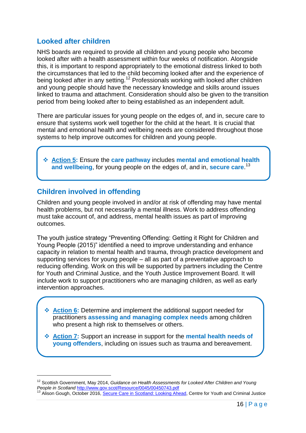## **Looked after children**

NHS boards are required to provide all children and young people who become looked after with a health assessment within four weeks of notification. Alongside this, it is important to respond appropriately to the emotional distress linked to both the circumstances that led to the child becoming looked after and the experience of being looked after in any setting.<sup>12</sup> Professionals working with looked after children and young people should have the necessary knowledge and skills around issues linked to trauma and attachment. Consideration should also be given to the transition period from being looked after to being established as an independent adult.

There are particular issues for young people on the edges of, and in, secure care to ensure that systems work well together for the child at the heart. It is crucial that mental and emotional health and wellbeing needs are considered throughout those systems to help improve outcomes for children and young people.

 **Action 5:** Ensure the **care pathway** includes **mental and emotional health and wellbeing**, for young people on the edges of, and in, **secure care**. 13

## **Children involved in offending**

Children and young people involved in and/or at risk of offending may have mental health problems, but not necessarily a mental illness. Work to address offending must take account of, and address, mental health issues as part of improving outcomes.

The youth justice strategy "Preventing Offending: Getting it Right for Children and Young People (2015)" identified a need to improve understanding and enhance capacity in relation to mental health and trauma, through practice development and supporting services for young people – all as part of a preventative approach to reducing offending. Work on this will be supported by partners including the Centre for Youth and Criminal Justice, and the Youth Justice Improvement Board. It will include work to support practitioners who are managing children, as well as early intervention approaches.

 **Action 6:** Determine and implement the additional support needed for practitioners **assessing and managing complex needs** among children who present a high risk to themselves or others.

 **Action 7:** Support an increase in support for the **mental health needs of young offenders**, including on issues such as trauma and bereavement.

<sup>&</sup>lt;sup>12</sup> Scottish Government, May 2014, *Guidance on Health Assessments for Looked After Children and Young People in Scotland* <http://www.gov.scot/Resource/0045/00450743.pdf>

Alison Gough, October 2016, [Secure Care in Scotland: Looking Ahead,](http://www.cycj.org.uk/wp-content/uploads/2016/10/Secure-Care-in-Scotland-Looking-Ahead.pdf) Centre for Youth and Criminal Justice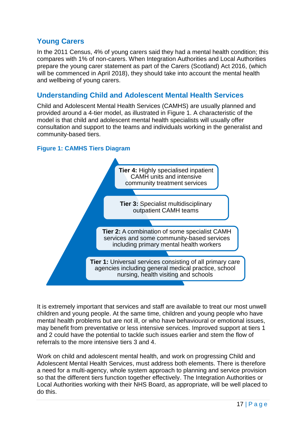# **Young Carers**

In the 2011 Census, 4% of young carers said they had a mental health condition; this compares with 1% of non-carers. When Integration Authorities and Local Authorities prepare the young carer statement as part of the Carers (Scotland) Act 2016, (which will be commenced in April 2018), they should take into account the mental health and wellbeing of young carers.

## **Understanding Child and Adolescent Mental Health Services**

Child and Adolescent Mental Health Services (CAMHS) are usually planned and provided around a 4-tier model, as illustrated in Figure 1. A characteristic of the model is that child and adolescent mental health specialists will usually offer consultation and support to the teams and individuals working in the generalist and community-based tiers.

#### **Figure 1: CAMHS Tiers Diagram**



It is extremely important that services and staff are available to treat our most unwell children and young people. At the same time, children and young people who have mental health problems but are not ill, or who have behavioural or emotional issues, may benefit from preventative or less intensive services. Improved support at tiers 1 and 2 could have the potential to tackle such issues earlier and stem the flow of referrals to the more intensive tiers 3 and 4.

Work on child and adolescent mental health, and work on progressing Child and Adolescent Mental Health Services, must address both elements. There is therefore a need for a multi-agency, whole system approach to planning and service provision so that the different tiers function together effectively. The Integration Authorities or Local Authorities working with their NHS Board, as appropriate, will be well placed to do this.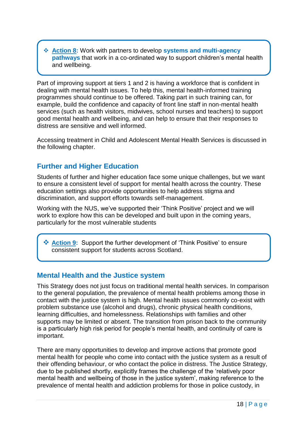**Action 8:** Work with partners to develop **systems and multi-agency pathways** that work in a co-ordinated way to support children's mental health and wellbeing.

Part of improving support at tiers 1 and 2 is having a workforce that is confident in dealing with mental health issues. To help this, mental health-informed training programmes should continue to be offered. Taking part in such training can, for example, build the confidence and capacity of front line staff in non-mental health services (such as health visitors, midwives, school nurses and teachers) to support good mental health and wellbeing, and can help to ensure that their responses to distress are sensitive and well informed.

Accessing treatment in Child and Adolescent Mental Health Services is discussed in the following chapter.

# **Further and Higher Education**

Students of further and higher education face some unique challenges, but we want to ensure a consistent level of support for mental health across the country. These education settings also provide opportunities to help address stigma and discrimination, and support efforts towards self-management.

Working with the NUS, we"ve supported their "Think Positive" project and we will work to explore how this can be developed and built upon in the coming years, particularly for the most vulnerable students

**<sup>◆</sup> Action 9:** Support the further development of 'Think Positive' to ensure consistent support for students across Scotland.

#### **Mental Health and the Justice system**

This Strategy does not just focus on traditional mental health services. In comparison to the general population, the prevalence of mental health problems among those in contact with the justice system is high. Mental health issues commonly co-exist with problem substance use (alcohol and drugs), chronic physical health conditions, learning difficulties, and homelessness. Relationships with families and other supports may be limited or absent. The transition from prison back to the community is a particularly high risk period for people's mental health, and continuity of care is important.

There are many opportunities to develop and improve actions that promote good mental health for people who come into contact with the justice system as a result of their offending behaviour, or who contact the police in distress. The Justice Strategy, due to be published shortly, explicitly frames the challenge of the "relatively poor mental health and wellbeing of those in the justice system", making reference to the prevalence of mental health and addiction problems for those in police custody, in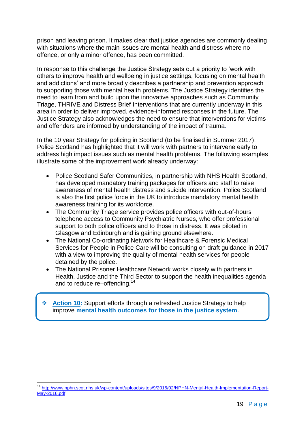prison and leaving prison. It makes clear that justice agencies are commonly dealing with situations where the main issues are mental health and distress where no offence, or only a minor offence, has been committed.

In response to this challenge the Justice Strategy sets out a priority to "work with others to improve health and wellbeing in justice settings, focusing on mental health and addictions" and more broadly describes a partnership and prevention approach to supporting those with mental health problems. The Justice Strategy identifies the need to learn from and build upon the innovative approaches such as Community Triage, THRIVE and Distress Brief Interventions that are currently underway in this area in order to deliver improved, evidence-informed responses in the future. The Justice Strategy also acknowledges the need to ensure that interventions for victims and offenders are informed by understanding of the impact of trauma.

In the 10 year Strategy for policing in Scotland (to be finalised in Summer 2017), Police Scotland has highlighted that it will work with partners to intervene early to address high impact issues such as mental health problems. The following examples illustrate some of the improvement work already underway:

- Police Scotland Safer Communities, in partnership with NHS Health Scotland, has developed mandatory training packages for officers and staff to raise awareness of mental health distress and suicide intervention. Police Scotland is also the first police force in the UK to introduce mandatory mental health awareness training for its workforce.
- The Community Triage service provides police officers with out-of-hours telephone access to Community Psychiatric Nurses, who offer professional support to both police officers and to those in distress. It was piloted in Glasgow and Edinburgh and is gaining ground elsewhere.
- The National Co-ordinating Network for Healthcare & Forensic Medical Services for People in Police Care will be consulting on draft guidance in 2017 with a view to improving the quality of mental health services for people detained by the police.
- The National Prisoner Healthcare Network works closely with partners in Health, Justice and the Third Sector to support the health inequalities agenda and to reduce re–offending.<sup>14</sup>

 **Action 10:** Support efforts through a refreshed Justice Strategy to help improve **mental health outcomes for those in the justice system**.

<sup>&</sup>lt;sup>14</sup> [http://www.nphn.scot.nhs.uk/wp-content/uploads/sites/9/2016/02/NPHN-Mental-Health-Implementation-Report-](http://www.nphn.scot.nhs.uk/wp-content/uploads/sites/9/2016/02/NPHN-Mental-Health-Implementation-Report-May-2016.pdf)[May-2016.pdf](http://www.nphn.scot.nhs.uk/wp-content/uploads/sites/9/2016/02/NPHN-Mental-Health-Implementation-Report-May-2016.pdf)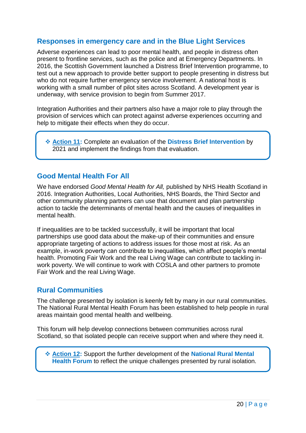## **Responses in emergency care and in the Blue Light Services**

Adverse experiences can lead to poor mental health, and people in distress often present to frontline services, such as the police and at Emergency Departments. In 2016, the Scottish Government launched a Distress Brief Intervention programme, to test out a new approach to provide better support to people presenting in distress but who do not require further emergency service involvement. A national host is working with a small number of pilot sites across Scotland. A development year is underway, with service provision to begin from Summer 2017.

Integration Authorities and their partners also have a major role to play through the provision of services which can protect against adverse experiences occurring and help to mitigate their effects when they do occur.

 **Action 11:** Complete an evaluation of the **Distress Brief Intervention** by 2021 and implement the findings from that evaluation.

#### **Good Mental Health For All**

We have endorsed *Good Mental Health for All,* published by NHS Health Scotland in 2016. Integration Authorities, Local Authorities, NHS Boards, the Third Sector and other community planning partners can use that document and plan partnership action to tackle the determinants of mental health and the causes of inequalities in mental health.

If inequalities are to be tackled successfully, it will be important that local partnerships use good data about the make-up of their communities and ensure appropriate targeting of actions to address issues for those most at risk. As an example, in-work poverty can contribute to inequalities, which affect people"s mental health. Promoting Fair Work and the real Living Wage can contribute to tackling inwork poverty. We will continue to work with COSLA and other partners to promote Fair Work and the real Living Wage.

#### **Rural Communities**

The challenge presented by isolation is keenly felt by many in our rural communities. The National Rural Mental Health Forum has been established to help people in rural areas maintain good mental health and wellbeing.

This forum will help develop connections between communities across rural Scotland, so that isolated people can receive support when and where they need it.

 **Action 12:** Support the further development of the **National Rural Mental Health Forum** to reflect the unique challenges presented by rural isolation.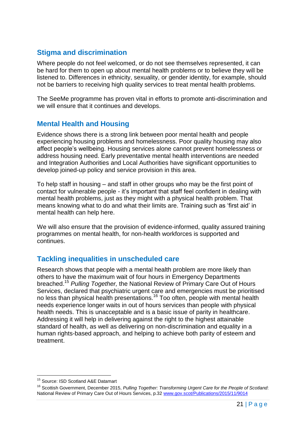# **Stigma and discrimination**

Where people do not feel welcomed, or do not see themselves represented, it can be hard for them to open up about mental health problems or to believe they will be listened to. Differences in ethnicity, sexuality, or gender identity, for example, should not be barriers to receiving high quality services to treat mental health problems.

The SeeMe programme has proven vital in efforts to promote anti-discrimination and we will ensure that it continues and develops.

#### **Mental Health and Housing**

Evidence shows there is a strong link between poor mental health and people experiencing housing problems and homelessness. Poor quality housing may also affect people"s wellbeing. Housing services alone cannot prevent homelessness or address housing need. Early preventative mental health interventions are needed and Integration Authorities and Local Authorities have significant opportunities to develop joined-up policy and service provision in this area.

To help staff in housing – and staff in other groups who may be the first point of contact for vulnerable people - it"s important that staff feel confident in dealing with mental health problems, just as they might with a physical health problem. That means knowing what to do and what their limits are. Training such as "first aid" in mental health can help here.

We will also ensure that the provision of evidence-informed, quality assured training programmes on mental health, for non-health workforces is supported and continues.

## **Tackling inequalities in unscheduled care**

Research shows that people with a mental health problem are more likely than others to have the maximum wait of four hours in Emergency Departments breached.<sup>15</sup> *Pulling Together,* the National Review of Primary Care Out of Hours Services, declared that psychiatric urgent care and emergencies must be prioritised no less than physical health presentations.<sup>16</sup> Too often, people with mental health needs experience longer waits in out of hours services than people with physical health needs. This is unacceptable and is a basic issue of parity in healthcare. Addressing it will help in delivering against the right to the highest attainable standard of health, as well as delivering on non-discrimination and equality in a human rights-based approach, and helping to achieve both parity of esteem and treatment.

<sup>&</sup>lt;sup>15</sup> Source: ISD Scotland A&E Datamart

<sup>16</sup> Scottish Government, December 2015, *Pulling Together: Transforming Urgent Care for the People of Scotland*: National Review of Primary Care Out of Hours Services, p.32 [www.gov.scot/Publications/2015/11/9014](http://www.gov.scot/Publications/2015/11/9014)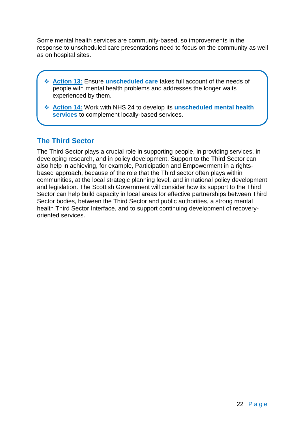Some mental health services are community-based, so improvements in the response to unscheduled care presentations need to focus on the community as well as on hospital sites.

- **Action 13:** Ensure **unscheduled care** takes full account of the needs of people with mental health problems and addresses the longer waits experienced by them.
- **Action 14:** Work with NHS 24 to develop its **unscheduled mental health services** to complement locally-based services.

# **The Third Sector**

The Third Sector plays a crucial role in supporting people, in providing services, in developing research, and in policy development. Support to the Third Sector can also help in achieving, for example, Participation and Empowerment in a rightsbased approach, because of the role that the Third sector often plays within communities, at the local strategic planning level, and in national policy development and legislation. The Scottish Government will consider how its support to the Third Sector can help build capacity in local areas for effective partnerships between Third Sector bodies, between the Third Sector and public authorities, a strong mental health Third Sector Interface, and to support continuing development of recoveryoriented services.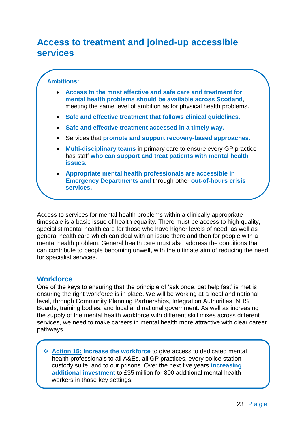# <span id="page-23-0"></span>**Access to treatment and joined-up accessible services**

#### **Ambitions:**

- **Access to the most effective and safe care and treatment for mental health problems should be available across Scotland**, meeting the same level of ambition as for physical health problems.
- **Safe and effective treatment that follows clinical guidelines.**
- **Safe and effective treatment accessed in a timely way.**
- Services that **promote and support recovery-based approaches.**
- **Multi-disciplinary teams** in primary care to ensure every GP practice has staff **who can support and treat patients with mental health issues.**
- **Appropriate mental health professionals are accessible in Emergency Departments and** through other **out-of-hours crisis services.**

Access to services for mental health problems within a clinically appropriate timescale is a basic issue of health equality. There must be access to high quality, specialist mental health care for those who have higher levels of need, as well as general health care which can deal with an issue there and then for people with a mental health problem. General health care must also address the conditions that can contribute to people becoming unwell, with the ultimate aim of reducing the need for specialist services.

#### **Workforce**

One of the keys to ensuring that the principle of "ask once, get help fast" is met is ensuring the right workforce is in place. We will be working at a local and national level, through Community Planning Partnerships, Integration Authorities, NHS Boards, training bodies, and local and national government. As well as increasing the supply of the mental health workforce with different skill mixes across different services, we need to make careers in mental health more attractive with clear career pathways.

 **Action 15: Increase the workforce** to give access to dedicated mental health professionals to all A&Es, all GP practices, every police station custody suite, and to our prisons. Over the next five years **increasing additional investment** to £35 million for 800 additional mental health workers in those key settings.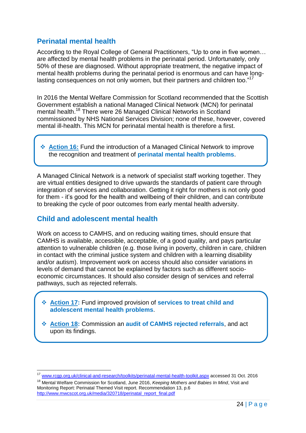## **Perinatal mental health**

According to the Royal College of General Practitioners, "Up to one in five women… are affected by mental health problems in the perinatal period. Unfortunately, only 50% of these are diagnosed. Without appropriate treatment, the negative impact of mental health problems during the perinatal period is enormous and can have longlasting consequences on not only women, but their partners and children too."<sup>17</sup>

In 2016 the Mental Welfare Commission for Scotland recommended that the Scottish Government establish a national Managed Clinical Network (MCN) for perinatal mental health.<sup>18</sup> There were 26 Managed Clinical Networks in Scotland commissioned by NHS National Services Division; none of these, however, covered mental ill-health. This MCN for perinatal mental health is therefore a first.

 **Action 16:** Fund the introduction of a Managed Clinical Network to improve the recognition and treatment of **perinatal mental health problems**.

A Managed Clinical Network is a network of specialist staff working together. They are virtual entities designed to drive upwards the standards of patient care through integration of services and collaboration. Getting it right for mothers is not only good for them - it"s good for the health and wellbeing of their children, and can contribute to breaking the cycle of poor outcomes from early mental health adversity.

#### **Child and adolescent mental health**

Work on access to CAMHS, and on reducing waiting times, should ensure that CAMHS is available, accessible, acceptable, of a good quality, and pays particular attention to vulnerable children (e.g. those living in poverty, children in care, children in contact with the criminal justice system and children with a learning disability and/or autism). Improvement work on access should also consider variations in levels of demand that cannot be explained by factors such as different socioeconomic circumstances. It should also consider design of services and referral pathways, such as rejected referrals.

 **Action 17:** Fund improved provision of **services to treat child and adolescent mental health problems**.

 **Action 18:** Commission an **audit of CAMHS rejected referrals**, and act upon its findings.

<sup>17</sup> [www.rcgp.org.uk/clinical-and-research/toolkits/perinatal-mental-health-toolkit.aspx](http://www.rcgp.org.uk/clinical-and-research/toolkits/perinatal-mental-health-toolkit.aspx) accessed 31 Oct. 2016

<sup>18</sup> Mental Welfare Commission for Scotland, June 2016, *Keeping Mothers and Babies In Mind*, Visit and Monitoring Report: Perinatal Themed Visit report. Recommendation 13, p.6 [http://www.mwcscot.org.uk/media/320718/perinatal\\_report\\_final.pdf](http://www.mwcscot.org.uk/media/320718/perinatal_report_final.pdf)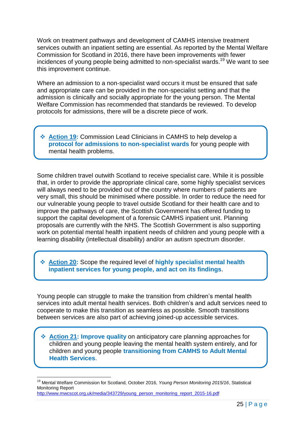Work on treatment pathways and development of CAMHS intensive treatment services outwith an inpatient setting are essential. As reported by the Mental Welfare Commission for Scotland in 2016, there have been improvements with fewer incidences of young people being admitted to non-specialist wards.<sup>19</sup> We want to see this improvement continue.

Where an admission to a non-specialist ward occurs it must be ensured that safe and appropriate care can be provided in the non-specialist setting and that the admission is clinically and socially appropriate for the young person. The Mental Welfare Commission has recommended that standards be reviewed. To develop protocols for admissions, there will be a discrete piece of work.

 **Action 19:** Commission Lead Clinicians in CAMHS to help develop a **protocol for admissions to non-specialist wards** for young people with mental health problems.

Some children travel outwith Scotland to receive specialist care. While it is possible that, in order to provide the appropriate clinical care, some highly specialist services will always need to be provided out of the country where numbers of patients are very small, this should be minimised where possible. In order to reduce the need for our vulnerable young people to travel outside Scotland for their health care and to improve the pathways of care, the Scottish Government has offered funding to support the capital development of a forensic CAMHS inpatient unit. Planning proposals are currently with the NHS. The Scottish Government is also supporting work on potential mental health inpatient needs of children and young people with a learning disability (intellectual disability) and/or an autism spectrum disorder.

 **Action 20:** Scope the required level of **highly specialist mental health inpatient services for young people, and act on its findings**.

Young people can struggle to make the transition from children"s mental health services into adult mental health services. Both children"s and adult services need to cooperate to make this transition as seamless as possible. Smooth transitions between services are also part of achieving joined-up accessible services.

 **Action 21: Improve quality** on anticipatory care planning approaches for children and young people leaving the mental health system entirely, and for children and young people **transitioning from CAMHS to Adult Mental Health Services**.

<sup>19</sup> Mental Welfare Commission for Scotland, October 2016, *Young Person Monitoring 2015/16*, Statistical Monitoring Report [http://www.mwcscot.org.uk/media/343729/young\\_person\\_monitoring\\_report\\_2015-16.pdf](http://www.mwcscot.org.uk/media/343729/young_person_monitoring_report_2015-16.pdf)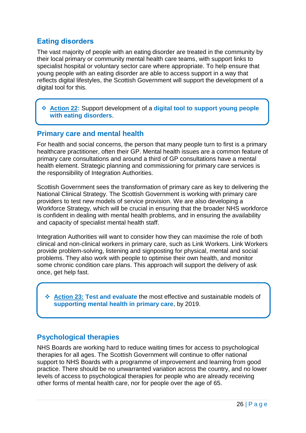## **Eating disorders**

The vast majority of people with an eating disorder are treated in the community by their local primary or community mental health care teams, with support links to specialist hospital or voluntary sector care where appropriate. To help ensure that young people with an eating disorder are able to access support in a way that reflects digital lifestyles, the Scottish Government will support the development of a digital tool for this.

 **Action 22:** Support development of a **digital tool to support young people with eating disorders**.

#### **Primary care and mental health**

For health and social concerns, the person that many people turn to first is a primary healthcare practitioner, often their GP. Mental health issues are a common feature of primary care consultations and around a third of GP consultations have a mental health element. Strategic planning and commissioning for primary care services is the responsibility of Integration Authorities.

Scottish Government sees the transformation of primary care as key to delivering the National Clinical Strategy. The Scottish Government is working with primary care providers to test new models of service provision. We are also developing a Workforce Strategy, which will be crucial in ensuring that the broader NHS workforce is confident in dealing with mental health problems, and in ensuring the availability and capacity of specialist mental health staff.

Integration Authorities will want to consider how they can maximise the role of both clinical and non-clinical workers in primary care, such as Link Workers. Link Workers provide problem-solving, listening and signposting for physical, mental and social problems. They also work with people to optimise their own health, and monitor some chronic condition care plans. This approach will support the delivery of ask once, get help fast.

 **Action 23: Test and evaluate** the most effective and sustainable models of **supporting mental health in primary care**, by 2019.

#### **Psychological therapies**

NHS Boards are working hard to reduce waiting times for access to psychological therapies for all ages. The Scottish Government will continue to offer national support to NHS Boards with a programme of improvement and learning from good practice. There should be no unwarranted variation across the country, and no lower levels of access to psychological therapies for people who are already receiving other forms of mental health care, nor for people over the age of 65.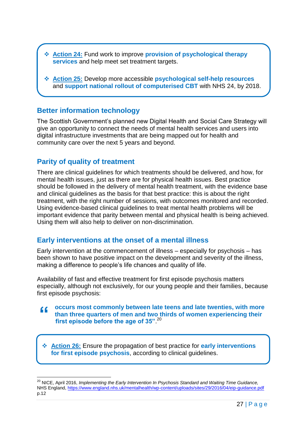- **Action 24:** Fund work to improve **provision of psychological therapy services** and help meet set treatment targets.
- **Action 25:** Develop more accessible **psychological self-help resources** and **support national rollout of computerised CBT** with NHS 24, by 2018.

#### **Better information technology**

The Scottish Government"s planned new Digital Health and Social Care Strategy will give an opportunity to connect the needs of mental health services and users into digital infrastructure investments that are being mapped out for health and community care over the next 5 years and beyond.

#### **Parity of quality of treatment**

There are clinical guidelines for which treatments should be delivered, and how, for mental health issues, just as there are for physical health issues. Best practice should be followed in the delivery of mental health treatment, with the evidence base and clinical guidelines as the basis for that best practice: this is about the right treatment, with the right number of sessions, with outcomes monitored and recorded. Using evidence-based clinical guidelines to treat mental health problems will be important evidence that parity between mental and physical health is being achieved. Using them will also help to deliver on non-discrimination.

#### **Early interventions at the onset of a mental illness**

Early intervention at the commencement of illness – especially for psychosis – has been shown to have positive impact on the development and severity of the illness, making a difference to people's life chances and quality of life.

Availability of fast and effective treatment for first episode psychosis matters especially, although not exclusively, for our young people and their families, because first episode psychosis:

**occurs most commonly between late teens and late twenties, with more**  " **than three quarters of men and two thirds of women experiencing their first episode before the age of 35"**. 20 

 **Action 26:** Ensure the propagation of best practice for **early interventions for first episode psychosis**, according to clinical guidelines.

<sup>&</sup>lt;sup>20</sup> NICE, April 2016, *Implementing the Early Intervention In Psychosis Standard and Waiting Time Guidance,* NHS England[, https://www.england.nhs.uk/mentalhealth/wp-content/uploads/sites/29/2016/04/eip-guidance.pdf](https://www.england.nhs.uk/mentalhealth/wp-content/uploads/sites/29/2016/04/eip-guidance.pdf) p.12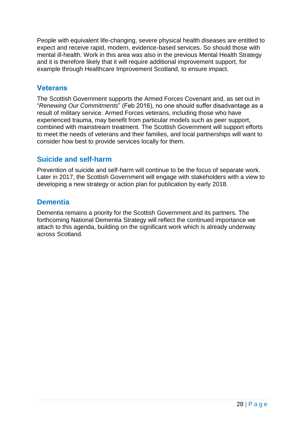People with equivalent life-changing, severe physical health diseases are entitled to expect and receive rapid, modern, evidence-based services. So should those with mental ill-health. Work in this area was also in the previous Mental Health Strategy and it is therefore likely that it will require additional improvement support, for example through Healthcare Improvement Scotland, to ensure impact.

## **Veterans**

The Scottish Government supports the Armed Forces Covenant and, as set out in "*Renewing Our Commitments*" (Feb 2016), no one should suffer disadvantage as a result of military service. Armed Forces veterans, including those who have experienced trauma, may benefit from particular models such as peer support, combined with mainstream treatment. The Scottish Government will support efforts to meet the needs of veterans and their families, and local partnerships will want to consider how best to provide services locally for them.

# **Suicide and self-harm**

Prevention of suicide and self-harm will continue to be the focus of separate work. Later in 2017, the Scottish Government will engage with stakeholders with a view to developing a new strategy or action plan for publication by early 2018.

## **Dementia**

Dementia remains a priority for the Scottish Government and its partners. The forthcoming National Dementia Strategy will reflect the continued importance we attach to this agenda, building on the significant work which is already underway across Scotland.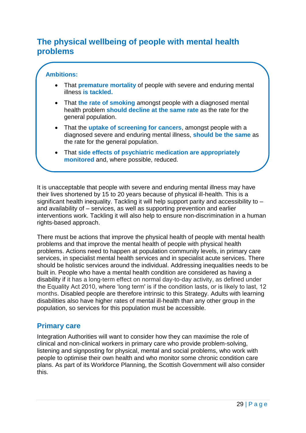# **The physical wellbeing of people with mental health problems**

#### **Ambitions:**

- That **premature mortality** of people with severe and enduring mental illness **is tackled.**
- That **the rate of smoking** amongst people with a diagnosed mental health problem **should decline at the same rate** as the rate for the general population.
- That the **uptake of screening for cancers**, amongst people with a diagnosed severe and enduring mental illness, **should be the same** as the rate for the general population.
- That **side effects of psychiatric medication are appropriately monitored** and, where possible, reduced.

It is unacceptable that people with severe and enduring mental illness may have their lives shortened by 15 to 20 years because of physical ill-health. This is a significant health inequality. Tackling it will help support parity and accessibility to – and availability of – services, as well as supporting prevention and earlier interventions work. Tackling it will also help to ensure non-discrimination in a human rights-based approach.

There must be actions that improve the physical health of people with mental health problems and that improve the mental health of people with physical health problems. Actions need to happen at population community levels, in primary care services, in specialist mental health services and in specialist acute services. There should be holistic services around the individual. Addressing inequalities needs to be built in. People who have a mental health condition are considered as having a disability if it has a long-term effect on normal day-to-day activity, as defined under the Equality Act 2010, where "long term' is if the condition lasts, or is likely to last, 12 months. Disabled people are therefore intrinsic to this Strategy. Adults with learning disabilities also have higher rates of mental ill-health than any other group in the population, so services for this population must be accessible.

## **Primary care**

Integration Authorities will want to consider how they can maximise the role of clinical and non-clinical workers in primary care who provide problem-solving, listening and signposting for physical, mental and social problems, who work with people to optimise their own health and who monitor some chronic condition care plans. As part of its Workforce Planning, the Scottish Government will also consider this.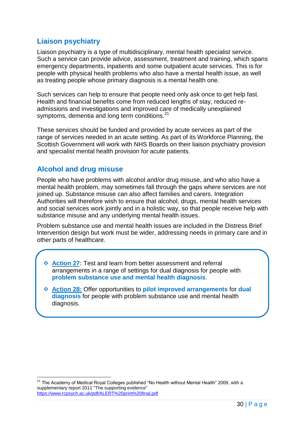# **Liaison psychiatry**

Liaison psychiatry is a type of multidisciplinary, mental health specialist service. Such a service can provide advice, assessment, treatment and training, which spans emergency departments, inpatients and some outpatient acute services. This is for people with physical health problems who also have a mental health issue, as well as treating people whose primary diagnosis is a mental health one.

Such services can help to ensure that people need only ask once to get help fast. Health and financial benefits come from reduced lengths of stay, reduced readmissions and investigations and improved care of medically unexplained symptoms, dementia and long term conditions.<sup>21</sup>

These services should be funded and provided by acute services as part of the range of services needed in an acute setting. As part of its Workforce Planning, the Scottish Government will work with NHS Boards on their liaison psychiatry provision and specialist mental health provision for acute patients.

# **Alcohol and drug misuse**

People who have problems with alcohol and/or drug misuse, and who also have a mental health problem, may sometimes fall through the gaps where services are not joined up. Substance misuse can also affect families and carers. Integration Authorities will therefore wish to ensure that alcohol, drugs, mental health services and social services work jointly and in a holistic way, so that people receive help with substance misuse and any underlying mental health issues.

Problem substance use and mental health issues are included in the Distress Brief Intervention design but work must be wider, addressing needs in primary care and in other parts of healthcare.

- **Action 27:** Test and learn from better assessment and referral arrangements in a range of settings for dual diagnosis for people with **problem substance use and mental health diagnosis**.
- **Action 28:** Offer opportunities to **pilot improved arrangements** for **dual diagnosis** for people with problem substance use and mental health diagnosis.

 $21$  The Academy of Medical Royal Colleges published "No Health without Mental Health" 2009, with a supplementary report 2011 "The supporting evidence" <https://www.rcpsych.ac.uk/pdf/ALERT%20print%20final.pdf>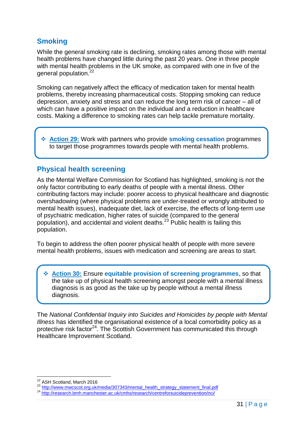# **Smoking**

While the general smoking rate is declining, smoking rates among those with mental health problems have changed little during the past 20 years. One in three people with mental health problems in the UK smoke, as compared with one in five of the general population.<sup>22</sup>

Smoking can negatively affect the efficacy of medication taken for mental health problems, thereby increasing pharmaceutical costs. Stopping smoking can reduce depression, anxiety and stress and can reduce the long term risk of cancer – all of which can have a positive impact on the individual and a reduction in healthcare costs. Making a difference to smoking rates can help tackle premature mortality.

 **Action 29:** Work with partners who provide **smoking cessation** programmes to target those programmes towards people with mental health problems.

#### **Physical health screening**

As the Mental Welfare Commission for Scotland has highlighted, smoking is not the only factor contributing to early deaths of people with a mental illness. Other contributing factors may include: poorer access to physical healthcare and diagnostic overshadowing (where physical problems are under-treated or wrongly attributed to mental health issues), inadequate diet, lack of exercise, the effects of long-term use of psychiatric medication, higher rates of suicide (compared to the general population), and accidental and violent deaths.<sup>23</sup> Public health is failing this population.

To begin to address the often poorer physical health of people with more severe mental health problems, issues with medication and screening are areas to start.

 **Action 30:** Ensure **equitable provision of screening programmes**, so that the take up of physical health screening amongst people with a mental illness diagnosis is as good as the take up by people without a mental illness diagnosis.

The *National Confidential Inquiry into Suicides and Homicides by people with Mental Illness* has identified the organisational existence of a local comorbidity policy as a protective risk factor<sup>24</sup>. The Scottish Government has communicated this through Healthcare Improvement Scotland.

<sup>22</sup> ASH Scotland, March 2016

<sup>23</sup> [http://www.mwcscot.org.uk/media/307343/mental\\_health\\_strategy\\_statement\\_final.pdf](http://www.mwcscot.org.uk/media/307343/mental_health_strategy_statement_final.pdf)

<sup>&</sup>lt;sup>24</sup> <http://research.bmh.manchester.ac.uk/cmhs/research/centreforsuicideprevention/nci/>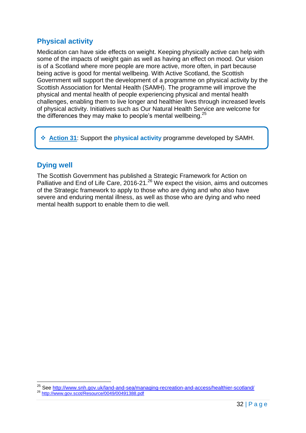# **Physical activity**

Medication can have side effects on weight. Keeping physically active can help with some of the impacts of weight gain as well as having an effect on mood. Our vision is of a Scotland where more people are more active, more often, in part because being active is good for mental wellbeing. With Active Scotland, the Scottish Government will support the development of a programme on physical activity by the Scottish Association for Mental Health (SAMH). The programme will improve the physical and mental health of people experiencing physical and mental health challenges, enabling them to live longer and healthier lives through increased levels of physical activity. Initiatives such as Our Natural Health Service are welcome for the differences they may make to people's mental wellbeing.<sup>25</sup>

**Action 31**: Support the **physical activity** programme developed by SAMH.

# **Dying well**

The Scottish Government has published a Strategic Framework for Action on Palliative and End of Life Care, 2016-21.<sup>26</sup> We expect the vision, aims and outcomes of the Strategic framework to apply to those who are dying and who also have severe and enduring mental illness, as well as those who are dying and who need mental health support to enable them to die well.

<sup>&</sup>lt;sup>25</sup> See<http://www.snh.gov.uk/land-and-sea/managing-recreation-and-access/healthier-scotland/> <sup>26</sup> <http://www.gov.scot/Resource/0049/00491388.pdf>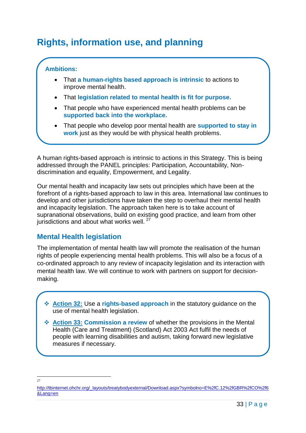# <span id="page-33-0"></span>**Rights, information use, and planning**

#### **Ambitions:**

- That **a human-rights based approach is intrinsic** to actions to improve mental health.
- That **legislation related to mental health is fit for purpose.**
- That people who have experienced mental health problems can be **supported back into the workplace.**
- That people who develop poor mental health are **supported to stay in work** just as they would be with physical health problems.

A human rights-based approach is intrinsic to actions in this Strategy. This is being addressed through the PANEL principles: Participation, Accountability, Nondiscrimination and equality, Empowerment, and Legality.

Our mental health and incapacity law sets out principles which have been at the forefront of a rights-based approach to law in this area. International law continues to develop and other jurisdictions have taken the step to overhaul their mental health and incapacity legislation. The approach taken here is to take account of supranational observations, build on existing good practice, and learn from other jurisdictions and about what works well.<sup>27</sup>

# **Mental Health legislation**

The implementation of mental health law will promote the realisation of the human rights of people experiencing mental health problems. This will also be a focus of a co-ordinated approach to any review of incapacity legislation and its interaction with mental health law. We will continue to work with partners on support for decisionmaking.

 **Action 32:** Use a **rights-based approach** in the statutory guidance on the use of mental health legislation.

 **Action 33: Commission a review** of whether the provisions in the Mental Health (Care and Treatment) (Scotland) Act 2003 Act fulfil the needs of people with learning disabilities and autism, taking forward new legislative measures if necessary.

 $27$ 

[http://tbinternet.ohchr.org/\\_layouts/treatybodyexternal/Download.aspx?symbolno=E%2fC.12%2fGBR%2fCO%2f6](http://tbinternet.ohchr.org/_layouts/treatybodyexternal/Download.aspx?symbolno=E%2fC.12%2fGBR%2fCO%2f6&Lang=en) [&Lang=en](http://tbinternet.ohchr.org/_layouts/treatybodyexternal/Download.aspx?symbolno=E%2fC.12%2fGBR%2fCO%2f6&Lang=en)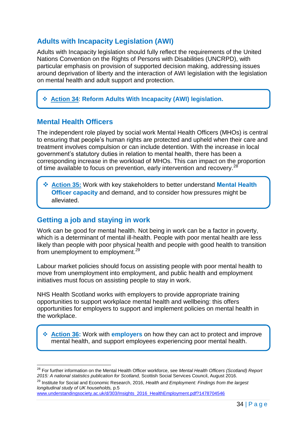# **Adults with Incapacity Legislation (AWI)**

Adults with Incapacity legislation should fully reflect the requirements of the United Nations Convention on the Rights of Persons with Disabilities (UNCRPD), with particular emphasis on provision of supported decision making, addressing issues around deprivation of liberty and the interaction of AWI legislation with the legislation on mental health and adult support and protection.

**Action 34**: **Reform Adults With Incapacity (AWI) legislation.**

#### **Mental Health Officers**

The independent role played by social work Mental Health Officers (MHOs) is central to ensuring that people"s human rights are protected and upheld when their care and treatment involves compulsion or can include detention. With the increase in local government"s statutory duties in relation to mental health, there has been a corresponding increase in the workload of MHOs. This can impact on the proportion of time available to focus on prevention, early intervention and recovery.<sup>28</sup>

 **Action 35:** Work with key stakeholders to better understand **Mental Health Officer capacity** and demand, and to consider how pressures might be alleviated.

## **Getting a job and staying in work**

Work can be good for mental health. Not being in work can be a factor in poverty, which is a determinant of mental ill-health. People with poor mental health are less likely than people with poor physical health and people with good health to transition from unemployment to employment.<sup>29</sup>

Labour market policies should focus on assisting people with poor mental health to move from unemployment into employment, and public health and employment initiatives must focus on assisting people to stay in work.

NHS Health Scotland works with employers to provide appropriate training opportunities to support workplace mental health and wellbeing: this offers opportunities for employers to support and implement policies on mental health in the workplace.

 **Action 36:** Work with **employers** on how they can act to protect and improve mental health, and support employees experiencing poor mental health.

<sup>28</sup> For further information on the Mental Health Officer workforce, see *Mental Health Officers (Scotland) Report 2015: A national statistics publication for Scotland,* Scottish Social Services Council, August 2016.

<sup>29</sup> Institute for Social and Economic Research, 2016, *Health and Employment: Findings from the largest longitudinal study of UK households,* p.5

[www.understandingsociety.ac.uk/d/303/Insights\\_2016\\_HealthEmployment.pdf?1478704546](https://www.understandingsociety.ac.uk/d/303/Insights_2016_HealthEmployment.pdf?1478704546)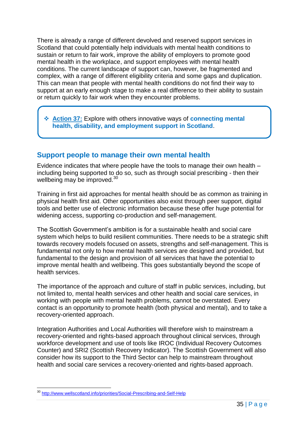There is already a range of different devolved and reserved support services in Scotland that could potentially help individuals with mental health conditions to sustain or return to fair work, improve the ability of employers to promote good mental health in the workplace, and support employees with mental health conditions. The current landscape of support can, however, be fragmented and complex, with a range of different eligibility criteria and some gaps and duplication. This can mean that people with mental health conditions do not find their way to support at an early enough stage to make a real difference to their ability to sustain or return quickly to fair work when they encounter problems.

 **Action 37:** Explore with others innovative ways of **connecting mental health, disability, and employment support in Scotland**.

## **Support people to manage their own mental health**

Evidence indicates that where people have the tools to manage their own health – including being supported to do so, such as through social prescribing - then their wellbeing may be improved.<sup>30</sup>

Training in first aid approaches for mental health should be as common as training in physical health first aid. Other opportunities also exist through peer support, digital tools and better use of electronic information because these offer huge potential for widening access, supporting co-production and self-management.

The Scottish Government"s ambition is for a sustainable health and social care system which helps to build resilient communities. There needs to be a strategic shift towards recovery models focused on assets, strengths and self-management. This is fundamental not only to how mental health services are designed and provided, but fundamental to the design and provision of all services that have the potential to improve mental health and wellbeing. This goes substantially beyond the scope of health services.

The importance of the approach and culture of staff in public services, including, but not limited to, mental health services and other health and social care services, in working with people with mental health problems, cannot be overstated. Every contact is an opportunity to promote health (both physical and mental), and to take a recovery-oriented approach.

Integration Authorities and Local Authorities will therefore wish to mainstream a recovery-oriented and rights-based approach throughout clinical services, through workforce development and use of tools like IROC (Individual Recovery Outcomes Counter) and SRI2 (Scottish Recovery Indicator). The Scottish Government will also consider how its support to the Third Sector can help to mainstream throughout health and social care services a recovery-oriented and rights-based approach.

<sup>30</sup> <http://www.wellscotland.info/priorities/Social-Prescribing-and-Self-Help>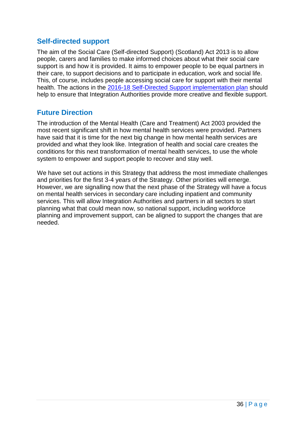#### **Self-directed support**

The aim of the Social Care (Self-directed Support) (Scotland) Act 2013 is to allow people, carers and families to make informed choices about what their social care support is and how it is provided. It aims to empower people to be equal partners in their care, to support decisions and to participate in education, work and social life. This, of course, includes people accessing social care for support with their mental health. The actions in the [2016-18 Self-Directed Support implementation plan](http://www.gov.scot/Publications/2016/12/5432/downloads) should help to ensure that Integration Authorities provide more creative and flexible support.

#### **Future Direction**

The introduction of the Mental Health (Care and Treatment) Act 2003 provided the most recent significant shift in how mental health services were provided. Partners have said that it is time for the next big change in how mental health services are provided and what they look like. Integration of health and social care creates the conditions for this next transformation of mental health services, to use the whole system to empower and support people to recover and stay well.

We have set out actions in this Strategy that address the most immediate challenges and priorities for the first 3-4 years of the Strategy. Other priorities will emerge. However, we are signalling now that the next phase of the Strategy will have a focus on mental health services in secondary care including inpatient and community services. This will allow Integration Authorities and partners in all sectors to start planning what that could mean now, so national support, including workforce planning and improvement support, can be aligned to support the changes that are needed.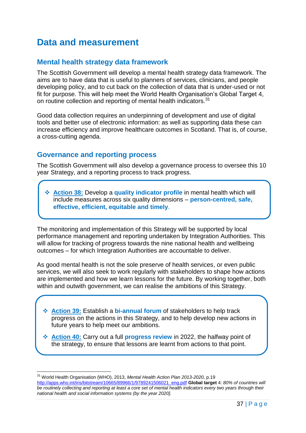# <span id="page-37-0"></span>**Data and measurement**

#### **Mental health strategy data framework**

The Scottish Government will develop a mental health strategy data framework. The aims are to have data that is useful to planners of services, clinicians, and people developing policy, and to cut back on the collection of data that is under-used or not fit for purpose. This will help meet the World Health Organisation"s Global Target 4, on routine collection and reporting of mental health indicators.<sup>31</sup>

Good data collection requires an underpinning of development and use of digital tools and better use of electronic information: as well as supporting data these can increase efficiency and improve healthcare outcomes in Scotland. That is, of course, a cross-cutting agenda.

#### **Governance and reporting process**

The Scottish Government will also develop a governance process to oversee this 10 year Strategy, and a reporting process to track progress.

 **Action 38:** Develop a **quality indicator profile** in mental health which will include measures across six quality dimensions – **person-centred, safe, effective, efficient, equitable and timely**.

The monitoring and implementation of this Strategy will be supported by local performance management and reporting undertaken by Integration Authorities. This will allow for tracking of progress towards the nine national health and wellbeing outcomes – for which Integration Authorities are accountable to deliver.

As good mental health is not the sole preserve of health services, or even public services, we will also seek to work regularly with stakeholders to shape how actions are implemented and how we learn lessons for the future. By working together, both within and outwith government, we can realise the ambitions of this Strategy.

- **Action 39:** Establish a **bi-annual forum** of stakeholders to help track progress on the actions in this Strategy, and to help develop new actions in future years to help meet our ambitions.
- **Action 40:** Carry out a full **progress review** in 2022, the halfway point of the strategy, to ensure that lessons are learnt from actions to that point.

<sup>31</sup> World Health Organisation (WHO), 2013, *Mental Health Action Plan 2013-2020,* p.19 [http://apps.who.int/iris/bitstream/10665/89966/1/9789241506021\\_eng.pdf](http://apps.who.int/iris/bitstream/10665/89966/1/9789241506021_eng.pdf) **Global target** 4: *80% of countries will be routinely collecting and reporting at least a core set of mental health indicators every two years through their national health and social information systems (by the year 2020].*